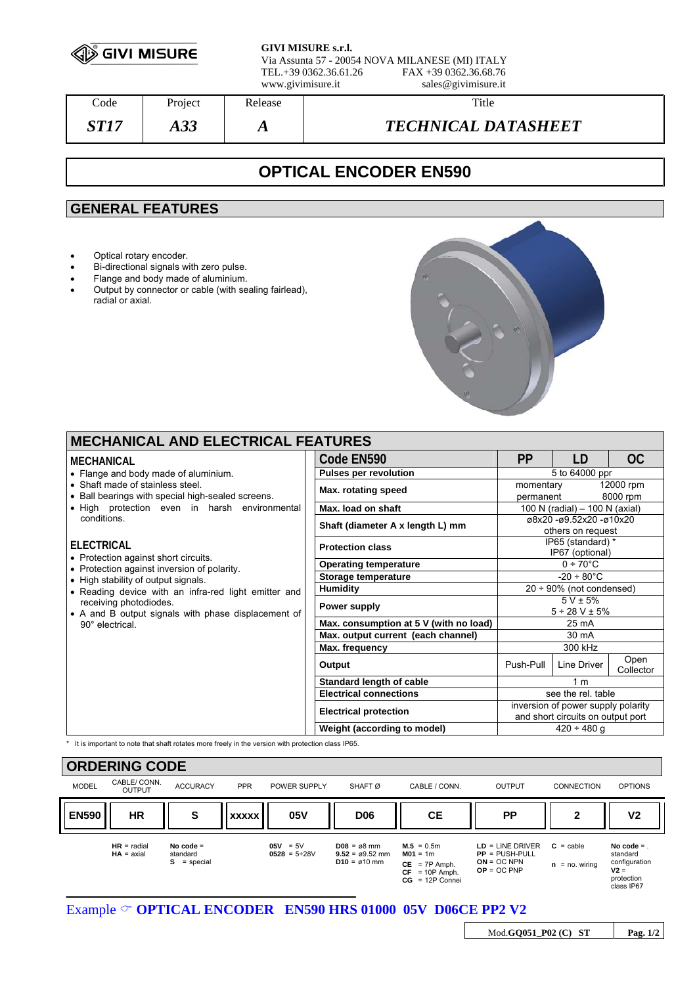

**GIVI MISURE s.r.l.**

Via Assunta 57 - 20054 NOVA MILANESE (MI) ITALY FAX +39 0362.36.68.76 www.givimisure.it sales@givimisure.it

Code Project Release Number 2016 *ST17 A33 A TECHNICAL DATASHEET* 

## **OPTICAL ENCODER EN590**

## **GENERAL FEATURES**

- Optical rotary encoder.
- Bi-directional signals with zero pulse.
- Flange and body made of aluminium.
- Output by connector or cable (with sealing fairlead), radial or axial.



| <b>MECHANICAL AND ELECTRICAL FEATURES</b>                                                                                                                                                                                                                         |  |                                        |                                                                         |             |                       |  |  |  |  |
|-------------------------------------------------------------------------------------------------------------------------------------------------------------------------------------------------------------------------------------------------------------------|--|----------------------------------------|-------------------------------------------------------------------------|-------------|-----------------------|--|--|--|--|
| MECHANICAL                                                                                                                                                                                                                                                        |  | Code EN590                             | <b>PP</b>                                                               | LD          | OC.                   |  |  |  |  |
| • Flange and body made of aluminium.                                                                                                                                                                                                                              |  | <b>Pulses per revolution</b>           | 5 to 64000 ppr                                                          |             |                       |  |  |  |  |
| • Shaft made of stainless steel.<br>• Ball bearings with special high-sealed screens.<br>. High protection even in harsh environmental<br>conditions.<br><b>ELECTRICAL</b><br>• Protection against short circuits.<br>• Protection against inversion of polarity. |  | Max. rotating speed                    | momentary<br>permanent                                                  |             | 12000 rpm<br>8000 rpm |  |  |  |  |
|                                                                                                                                                                                                                                                                   |  | Max. load on shaft                     | 100 N (radial) $-$ 100 N (axial)                                        |             |                       |  |  |  |  |
|                                                                                                                                                                                                                                                                   |  | Shaft (diameter A x length L) mm       | ø8x20 -ø9.52x20 -ø10x20<br>others on request                            |             |                       |  |  |  |  |
|                                                                                                                                                                                                                                                                   |  | <b>Protection class</b>                | IP65 (standard) *<br>IP67 (optional)                                    |             |                       |  |  |  |  |
|                                                                                                                                                                                                                                                                   |  | <b>Operating temperature</b>           | $0 \div 70^{\circ}$ C                                                   |             |                       |  |  |  |  |
| • High stability of output signals.                                                                                                                                                                                                                               |  | Storage temperature                    | $-20 \div 80^{\circ}$ C                                                 |             |                       |  |  |  |  |
| • Reading device with an infra-red light emitter and                                                                                                                                                                                                              |  | Humidity                               | $20 \div 90\%$ (not condensed)                                          |             |                       |  |  |  |  |
| receiving photodiodes.<br>• A and B output signals with phase displacement of<br>90° electrical.                                                                                                                                                                  |  | Power supply                           | $5 V \pm 5%$<br>$5 \div 28$ V $\pm$ 5%                                  |             |                       |  |  |  |  |
|                                                                                                                                                                                                                                                                   |  | Max. consumption at 5 V (with no load) | 25 mA                                                                   |             |                       |  |  |  |  |
|                                                                                                                                                                                                                                                                   |  | Max. output current (each channel)     | 30 mA                                                                   |             |                       |  |  |  |  |
|                                                                                                                                                                                                                                                                   |  | Max. frequency                         | 300 kHz                                                                 |             |                       |  |  |  |  |
|                                                                                                                                                                                                                                                                   |  | Output                                 | Push-Pull                                                               | Line Driver | Open<br>Collector     |  |  |  |  |
|                                                                                                                                                                                                                                                                   |  | Standard length of cable               | 1 <sub>m</sub>                                                          |             |                       |  |  |  |  |
|                                                                                                                                                                                                                                                                   |  | <b>Electrical connections</b>          | see the rel. table                                                      |             |                       |  |  |  |  |
|                                                                                                                                                                                                                                                                   |  | <b>Electrical protection</b>           | inversion of power supply polarity<br>and short circuits on output port |             |                       |  |  |  |  |
|                                                                                                                                                                                                                                                                   |  | Weight (according to model)            | $420 \div 480$ q                                                        |             |                       |  |  |  |  |

\* It is important to note that shaft rotates more freely in the version with protection class IP65.



Mod.**GQ051\_P02 (C) ST Pag. 1/2**